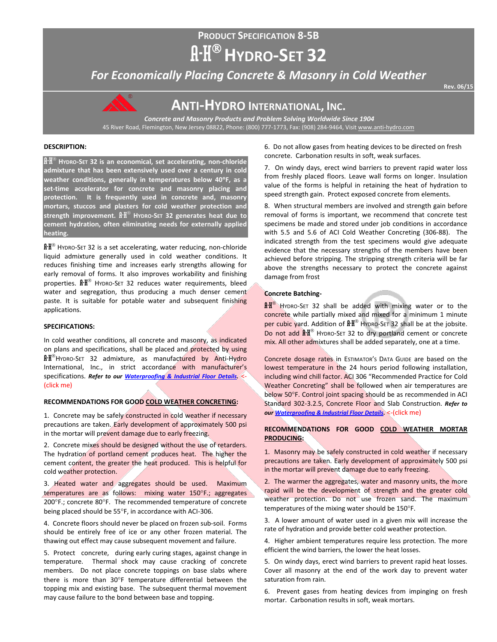# **PRODUCT SPECIFICATION 8-5B**  $A-H^{\circledR}$  HYDRO-SET 32

*For Economically Placing Concrete & Masonry in Cold Weather*

**Rev. 06/15** 



**ANTI-HYDRO INTERNATIONAL, INC.**

*Concrete and Masonry Products and Problem Solving Worldwide Since 1904* 45 River Road, Flemington, New Jersey 08822, Phone: (800) 777-1773, Fax: (908) 284-9464, Visi[t www.anti-hydro.com](http://www.anti-hydro.com/)

# **DESCRIPTION:**

A-H **HYDRO-SET 32 is an economical, set accelerating, non-chloride admixture that has been extensively used over a century in cold weather conditions, generally in temperatures below 40**°**F, as a set-time accelerator for concrete and masonry placing and protection. It is frequently used in concrete and, masonry mortars, stuccos and plasters for cold weather protection and strength improvement.** A-H **HYDRO-SET 32 generates heat due to cement hydration, often eliminating needs for externally applied heating.**

 $\mathbf{A} \cdot \mathbf{H}^{\circ}$  HYDRO-SET 32 is a set accelerating, water reducing, non-chloride liquid admixture generally used in cold weather conditions. It reduces finishing time and increases early strengths allowing for early removal of forms. It also improves workability and finishing properties.  $\mathbf{f} \cdot \mathbf{H}^{\circledast}$  HYDRO-SET 32 reduces water requirements, bleed water and segregation, thus producing a much denser cement paste. It is suitable for potable water and subsequent finishing applications.

### **SPECIFICATIONS:**

In cold weather conditions, all concrete and masonry, as indicated on plans and specifications, shall be placed and protected by using A-H®HYDRO-SET 32 admixture, as manufactured by Anti-Hydro International, Inc., in strict accordance with manufacturer's specifications. *Refer to our [Waterproofing & Industrial Floor Details.](http://ahi.pcmacnerds.biz/developed/pdf-display-all.php?name=TB-W-1-1.pdf&path=resources/downloads/tech-bulletins/)* <- (click me)

# **RECOMMENDATIONS FOR GOOD COLD WEATHER CONCRETING:**

1. Concrete may be safely constructed in cold weather if necessary precautions are taken. Early development of approximately 500 psi in the mortar will prevent damage due to early freezing.

2. Concrete mixes should be designed without the use of retarders. The hydration of portland cement produces heat. The higher the cement content, the greater the heat produced. This is helpful for cold weather protection.

3. Heated water and aggregates should be used. Maximum temperatures are as follows: mixing water 150°F.; aggregates 200°F.; concrete 80°F. The recommended temperature of concrete being placed should be 55°F, in accordance with ACI-306.

4. Concrete floors should never be placed on frozen sub-soil. Forms should be entirely free of ice or any other frozen material. The thawing out effect may cause subsequent movement and failure.

5. Protect concrete, during early curing stages, against change in temperature. Thermal shock may cause cracking of concrete members. Do not place concrete toppings on base slabs where there is more than 30°F temperature differential between the topping mix and existing base. The subsequent thermal movement may cause failure to the bond between base and topping.

6. Do not allow gases from heating devices to be directed on fresh concrete. Carbonation results in soft, weak surfaces.

7. On windy days, erect wind barriers to prevent rapid water loss from freshly placed floors. Leave wall forms on longer. Insulation value of the forms is helpful in retaining the heat of hydration to speed strength gain. Protect exposed concrete from elements.

8. When structural members are involved and strength gain before removal of forms is important, we recommend that concrete test specimens be made and stored under job conditions in accordance with 5.5 and 5.6 of ACI Cold Weather Concreting (306-88). The indicated strength from the test specimens would give adequate evidence that the necessary strengths of the members have been achieved before stripping. The stripping strength criteria will be far above the strengths necessary to protect the concrete against damage from frost

#### **Concrete Batching-**

**A-H<sup>®</sup> HYDRO-SET 32 shall be added with mixing water or to the** concrete while partially mixed and mixed for a minimum 1 minute per cubic yard. Addition of  $\mathbb{R}^{\mathbb{R}^{\infty}}$  Hypro-SET 32 shall be at the jobsite. Do not add  $\mathbb{H}^{\circ}$  HYDRO-SET 32 to dry portland cement or concrete mix. All other admixtures shall be added separately, one at a time.

Concrete dosage rates in ESTIMATOR'S DATA GUIDE are based on the lowest temperature in the 24 hours period following installation, including wind chill factor. ACI 306 "Recommended Practice for Cold Weather Concreting" shall be followed when air temperatures are below 50°F. Control joint spacing should be as recommended in ACI Standard 302-3.2.5, Concrete Floor and Slab Construction. *Refer to ou[r Waterproofing & Industrial Floor Details.](http://ahi.pcmacnerds.biz/developed/pdf-display-all.php?name=TB-W-1-1.pdf&path=resources/downloads/tech-bulletins/)* <-(click me)

# **RECOMMENDATIONS FOR GOOD COLD WEATHER MORTAR PRODUCING:**

1. Masonry may be safely constructed in cold weather if necessary precautions are taken. Early development of approximately 500 psi in the mortar will prevent damage due to early freezing.

2. The warmer the aggregates, water and masonry units, the more rapid will be the development of strength and the greater cold weather protection. Do not use frozen sand. The maximum temperatures of the mixing water should be 150°F.

3. A lower amount of water used in a given mix will increase the rate of hydration and provide better cold weather protection.

4. Higher ambient temperatures require less protection. The more efficient the wind barriers, the lower the heat losses.

5. On windy days, erect wind barriers to prevent rapid heat losses. Cover all masonry at the end of the work day to prevent water saturation from rain.

6. Prevent gases from heating devices from impinging on fresh mortar. Carbonation results in soft, weak mortars.